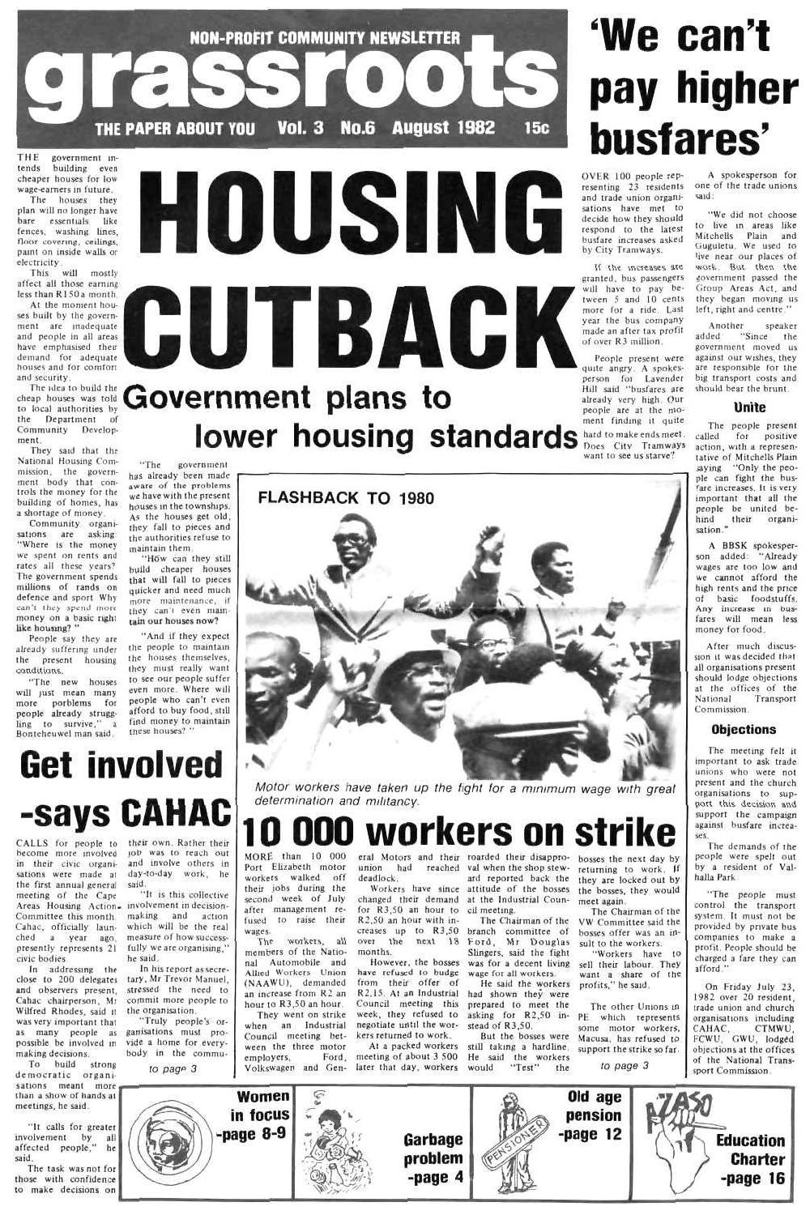### **NON-PROFIT COMMUNITY NEWSLETTER** CICSSI

**No.6** 

HOUSING

**Vol. 3** 

THE government intends building even cheaper houses for low wage-earners in future.

The houses they plan will no longer have bare essentials like fences, washing lines, floor covering, ceilings, paint on inside walls or electricity.

This will mostly affect all those earning less than R150 a month.

At the moment houses built by the government are inadequate and people in all areas have emphasised their demand for adequate houses and for comfort and security.

The idea to build the cheap houses was told to local authorities by the Department of Community Development.

They said that the National Housing Commission, the government body that controls the money for the building of homes, has a shortage of money.

Community organisations are asking: "Where is the money we spent on rents and rates all these years? The government spends millions of rands on defence and sport Why can't they spend more money on a basic right like housing? "

People say they are already suffering under the present housing conditions.

"The new houses will just mean many more porblems for people already struggling to survive," a

government "The has already been made aware of the problems we have with the present houses in the townships. As the houses get old, they fall to pieces and the authorities refuse to maintain them.

THE PAPER ABOUT YOU

"How can they still build cheaper houses that will fall to pieces quicker and need much more maintenance, if they can't even maintain our houses now?

"And if they expect the people to maintain the houses themselves, they must really want to see our people suffer even more. Where will people who can't even afford to buy food, still find money to maintain these houses? "

# CUTBACK **Government plans to**

**August 1982** 

**15c** 

lower housing standards



Motor workers have taken up the fight for a minimum wage with great

# 'We can't pay higher busfares'

OVER 100 people representing 23 residents and trade union organisations have met to decide how they should respond to the latest busfare increases asked by City Tramways.

If the increases are granted, bus passengers will have to pay between 5 and 10 cents more for a ride. Last year the bus company made an after tax profit of over R3 million.

People present were quite angry. A spokesperson for Lavender Hill said "busfares are already very high. Our people are at the moment finding it quite

hard to make ends meet. Does City Tramways want to see us starve?

A spokesperson for one of the trade unions vaid:

"We did not choose to live in areas like Mitchells Plain and Guguletu, We used to live near our places of work. But then the government passed the Group Areas Act, and they began moving us left, right and centre."

Another speaker "Since the added government moved us against our wishes, they are responsible for the big transport costs and should bear the brunt.

### Unite

The people present for positive called action, with a representative of Mitchells Plain saying "Only the people can fight the busfare increases. It is very important that all the people be united behind their organisation."

A BBSK spokesperson added: "Already wages are too low and we cannot afford the high rents and the price of basic foodstuffs. Any increase in busfares will mean less money for food.

After much discussion it was decided that all organisations present should lodge objections at the offices of the National Transport Commission.

Bonteheuwel man said,

## Get involved -says CAHAC

CALLS for people to become more involved in their civic organisations were made at the first annual general meeting of the Cape Committee this month. Cahac, officially launched a year ago. presently represents 21 civic bodies.

In addressing the close to 200 delegates and observers present. Cahac chairperson, Mr Wilfred Rhodes, said it was very important that as many people as possible be involved in making decisions.

To build strong democratic organisations meant more than a show of hands at meetings, he said.

"It calls for greater involvement by all affected people," he said.

The task was not for those with confidence to make decisions on

their own. Rather their job was to reach out and involve others in day-to-day work, he said.

"It is this collective Areas Housing Action. involvement in decisionmaking and action which will be the real measure of how successfully we are organising.' he said. In his report as secre-

tary, Mr Trevor Manuel, stressed the need to commit more people to the organisation.

"Truly people's organisations must provide a home for everybody in the commu-

to page 3

MORE than 10 000 Port Elizabeth motor workers walked off their jobs during the second week of July after management refused to raise their wages.

determination and militancy.

The workers, all members of the National Automobile and Allied Workers Union (NAAWU), demanded an increase from R2 an hour to R3.50 an hour. They went on strike when an Industrial Council meeting bet-

ween the three motor employers, Ford, Volkswagen and Gen-

union had deadlock.

eral Motors and their roarded their disappro- bosses the next day by Workers have since attitude of the bosses changed their demand at the Industrial Counreached val when the shop steward reported back the cil meeting.

workers on strike

for R3.30 an hour to R2.50 an hour with inmonths.

returning to work. If they are locked out by the bosses, they would meet again.

have refused to budge from their offer of R2.15, At an Industrial Council meeting this week, (hey refused to negotiate until the workers returned to work.

At a packed workers meeting of About 3 500 later that day, workers

creases up to R3.50 branch committee of over the next 18 Ford, Mr Douglas However, the bosses was for a decent living The Chairman of the Slingers. said the fight wage for all workers.

He said the workers had shown they were prepared to meet the asking for R2.50 instead of R3.50.

But the bosses were still taking a hardline. He said the workers would "Test" the

The Chairman of the VW Committee said the bosses offer was an insuit to the workers.

"Workers have to sell their labour. They want a share of the profits." he said.

The other Unions in PE which represents some motor workers, Macusa, has refused to support the strike so far.

to page 3

### **Objections**

The meeting felt it important to ask trade unions who were not present and the church organisations to support this decision and support the campaign against busfare increa-SES.

The demands of the people were spelt out by a resident of Valhalla Park

"The people must control the transport system. It must not be provided by private bus companies to make a profit. People should be charged a fare they can afford."

On Friday July 23, 1982 over 20 resident. trade union and church organisations including CAHAC, CTMWU. FCWU, GWU, lodged objections at the offices of the National Transsport Commission.